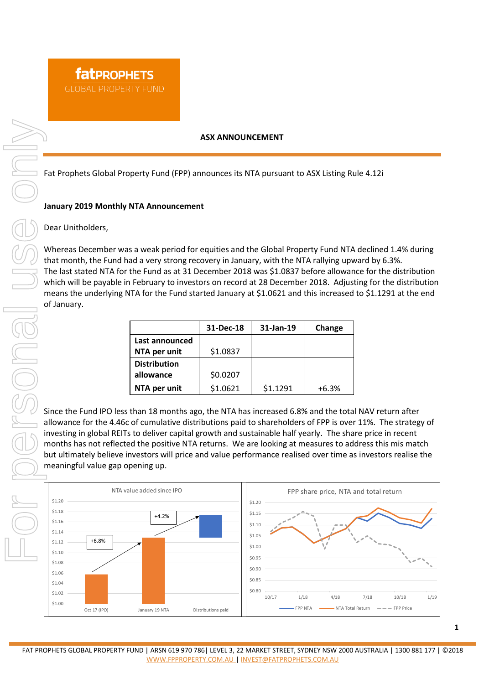#### **ASX ANNOUNCEMENT**

Fat Prophets Global Property Fund (FPP) announces its NTA pursuant to ASX Listing Rule 4.12i

## **January 2019 Monthly NTA Announcement**

### Dear Unitholders,

Whereas December was a weak period for equities and the Global Property Fund NTA declined 1.4% during that month, the Fund had a very strong recovery in January, with the NTA rallying upward by 6.3%. The last stated NTA for the Fund as at 31 December 2018 was \$1.0837 before allowance for the distribution which will be payable in February to investors on record at 28 December 2018. Adjusting for the distribution means the underlying NTA for the Fund started January at \$1.0621 and this increased to \$1.1291 at the end of January.

|                     | 31-Dec-18 | 31-Jan-19 | Change  |
|---------------------|-----------|-----------|---------|
| Last announced      |           |           |         |
| NTA per unit        | \$1.0837  |           |         |
| <b>Distribution</b> |           |           |         |
| allowance           | \$0.0207  |           |         |
| NTA per unit        | \$1.0621  | \$1.1291  | $+6.3%$ |

Since the Fund IPO less than 18 months ago, the NTA has increased 6.8% and the total NAV return after allowance for the 4.46c of cumulative distributions paid to shareholders of FPP is over 11%. The strategy of investing in global REITs to deliver capital growth and sustainable half yearly. The share price in recent months has not reflected the positive NTA returns. We are looking at measures to address this mis match but ultimately believe investors will price and value performance realised over time as investors realise the meaningful value gap opening up.



**1**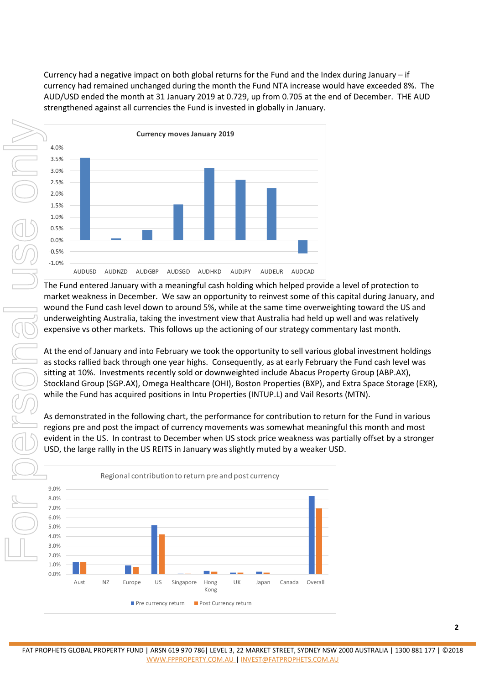Currency had a negative impact on both global returns for the Fund and the Index during January – if currency had remained unchanged during the month the Fund NTA increase would have exceeded 8%. The AUD/USD ended the month at 31 January 2019 at 0.729, up from 0.705 at the end of December. THE AUD strengthened against all currencies the Fund is invested in globally in January.



The Fund entered January with a meaningful cash holding which helped provide a level of protection to market weakness in December. We saw an opportunity to reinvest some of this capital during January, and wound the Fund cash level down to around 5%, while at the same time overweighting toward the US and underweighting Australia, taking the investment view that Australia had held up well and was relatively expensive vs other markets. This follows up the actioning of our strategy commentary last month.

At the end of January and into February we took the opportunity to sell various global investment holdings as stocks rallied back through one year highs. Consequently, as at early February the Fund cash level was sitting at 10%. Investments recently sold or downweighted include Abacus Property Group (ABP.AX), Stockland Group (SGP.AX), Omega Healthcare (OHI), Boston Properties (BXP), and Extra Space Storage (EXR), while the Fund has acquired positions in Intu Properties (INTUP.L) and Vail Resorts (MTN).

As demonstrated in the following chart, the performance for contribution to return for the Fund in various regions pre and post the impact of currency movements was somewhat meaningful this month and most evident in the US. In contrast to December when US stock price weakness was partially offset by a stronger USD, the large rallly in the US REITS in January was slightly muted by a weaker USD.

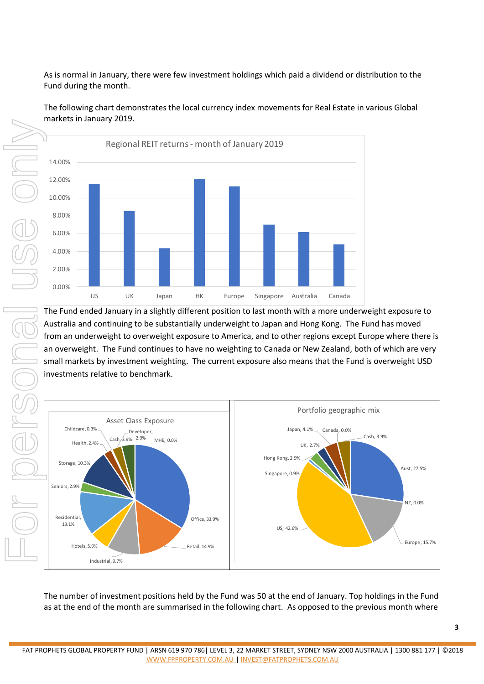As is normal in January, there were few investment holdings which paid a dividend or distribution to the Fund during the month.



The following chart demonstrates the local currency index movements for Real Estate in various Global markets in January 2019.

The Fund ended January in a slightly different position to last month with a more underweight exposure to Australia and continuing to be substantially underweight to Japan and Hong Kong. The Fund has moved from an underweight to overweight exposure to America, and to other regions except Europe where there is an overweight. The Fund continues to have no weighting to Canada or New Zealand, both of which are very small markets by investment weighting. The current exposure also means that the Fund is overweight USD investments relative to benchmark.



The number of investment positions held by the Fund was 50 at the end of January. Top holdings in the Fund as at the end of the month are summarised in the following chart. As opposed to the previous month where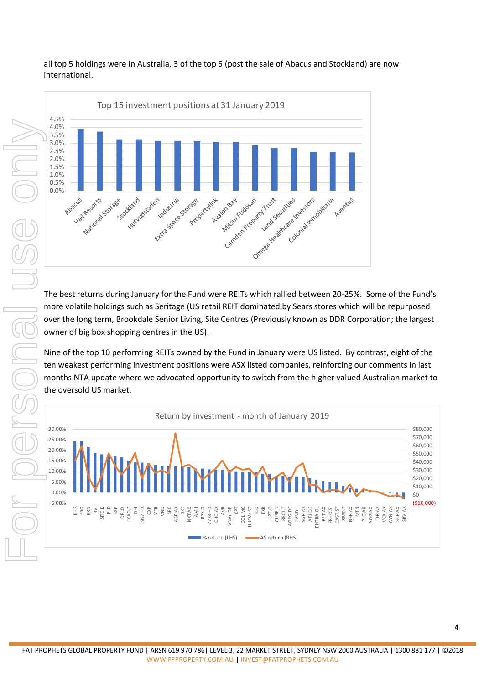## all top 5 holdings were in Australia, 3 of the top 5 (post the sale of Abacus and Stockland) are now international.



The best returns during January for the Fund were REITs which rallied between 20-25%. Some of the Fund's more volatile holdings such as Seritage (US retail REIT dominated by Sears stores which will be repurposed over the long term, Brookdale Senior Living, Site Centres (Previously known as DDR Corporation; the largest owner of big box shopping centres in the US).

Nine of the top 10 performing REITs owned by the Fund in January were US listed. By contrast, eight of the ten weakest performing investment positions were ASX listed companies, reinforcing our comments in last months NTA update where we advocated opportunity to switch from the higher valued Australian market to the oversold US market.

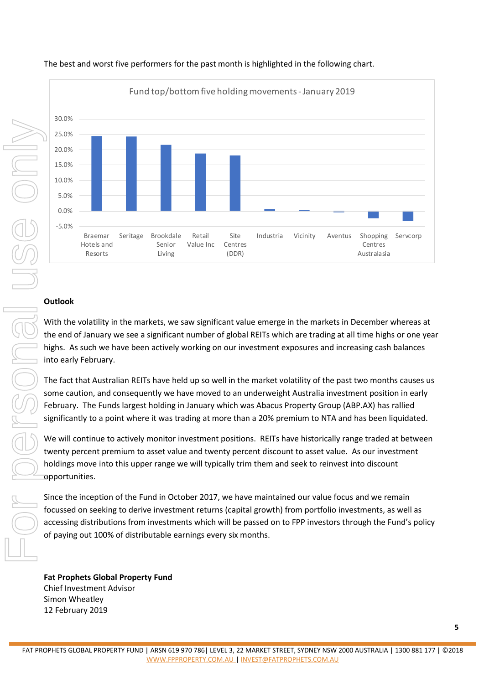

# The best and worst five performers for the past month is highlighted in the following chart.

## **Outlook**

With the volatility in the markets, we saw significant value emerge in the markets in December whereas at the end of January we see a significant number of global REITs which are trading at all time highs or one year highs. As such we have been actively working on our investment exposures and increasing cash balances into early February.

The fact that Australian REITs have held up so well in the market volatility of the past two months causes us some caution, and consequently we have moved to an underweight Australia investment position in early February. The Funds largest holding in January which was Abacus Property Group (ABP.AX) has rallied significantly to a point where it was trading at more than a 20% premium to NTA and has been liquidated.

We will continue to actively monitor investment positions. REITs have historically range traded at between twenty percent premium to asset value and twenty percent discount to asset value. As our investment holdings move into this upper range we will typically trim them and seek to reinvest into discount opportunities.

Since the inception of the Fund in October 2017, we have maintained our value focus and we remain focussed on seeking to derive investment returns (capital growth) from portfolio investments, as well as accessing distributions from investments which will be passed on to FPP investors through the Fund's policy of paying out 100% of distributable earnings every six months.

**Fat Prophets Global Property Fund** Chief Investment Advisor Simon Wheatley 12 February 2019